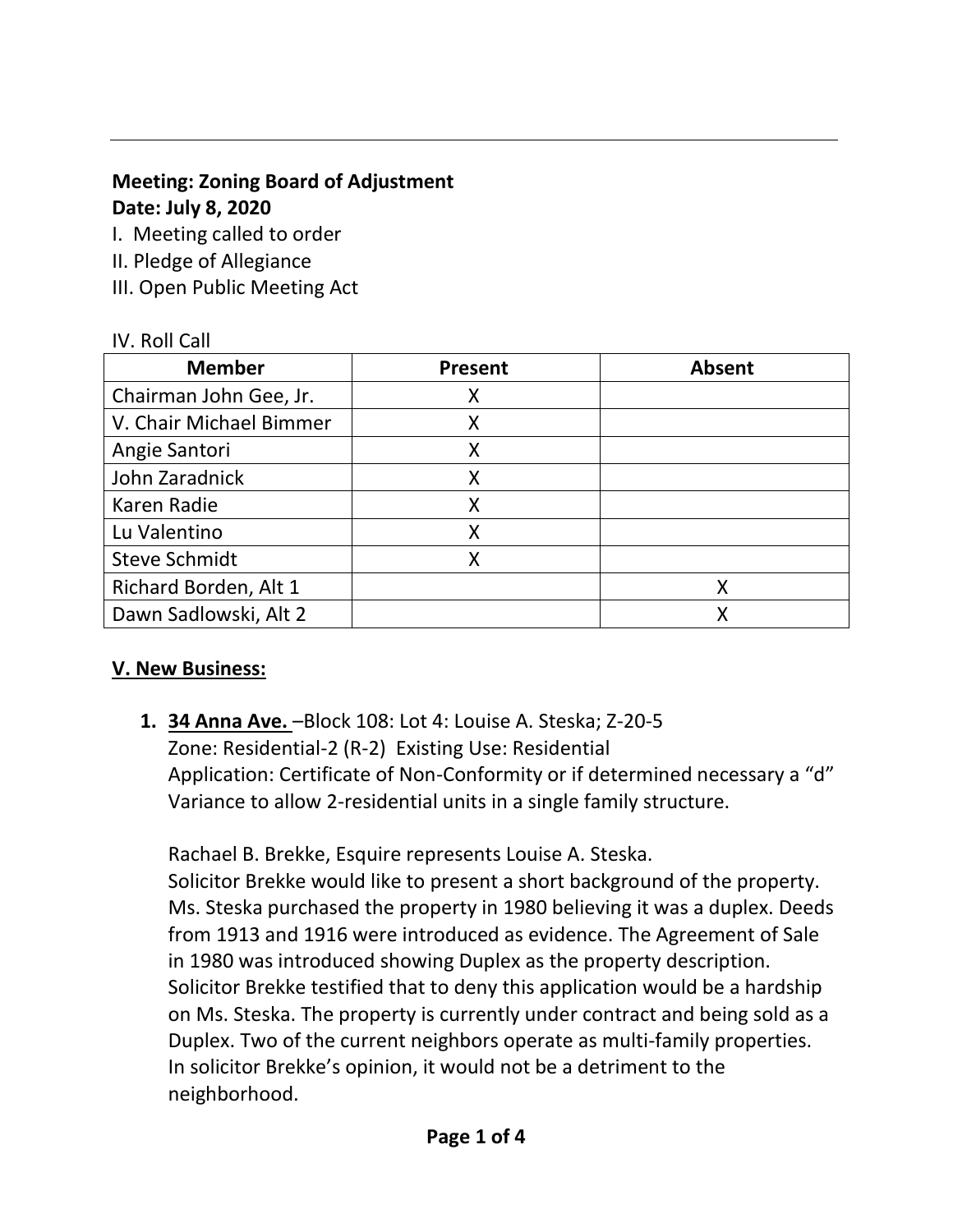## **Meeting: Zoning Board of Adjustment Date: July 8, 2020**

I. Meeting called to order

- II. Pledge of Allegiance
- III. Open Public Meeting Act

## IV. Roll Call

| <b>Member</b>           | <b>Present</b> | <b>Absent</b> |
|-------------------------|----------------|---------------|
| Chairman John Gee, Jr.  | x              |               |
| V. Chair Michael Bimmer | Χ              |               |
| Angie Santori           | Χ              |               |
| John Zaradnick          | X              |               |
| Karen Radie             | Χ              |               |
| Lu Valentino            | Χ              |               |
| <b>Steve Schmidt</b>    |                |               |
| Richard Borden, Alt 1   |                | X             |
| Dawn Sadlowski, Alt 2   |                | Χ             |

# **V. New Business:**

**1. 34 Anna Ave.** –Block 108: Lot 4: Louise A. Steska; Z-20-5 Zone: Residential-2 (R-2) Existing Use: Residential Application: Certificate of Non-Conformity or if determined necessary a "d" Variance to allow 2-residential units in a single family structure.

Rachael B. Brekke, Esquire represents Louise A. Steska.

Solicitor Brekke would like to present a short background of the property. Ms. Steska purchased the property in 1980 believing it was a duplex. Deeds from 1913 and 1916 were introduced as evidence. The Agreement of Sale in 1980 was introduced showing Duplex as the property description. Solicitor Brekke testified that to deny this application would be a hardship on Ms. Steska. The property is currently under contract and being sold as a Duplex. Two of the current neighbors operate as multi-family properties. In solicitor Brekke's opinion, it would not be a detriment to the neighborhood.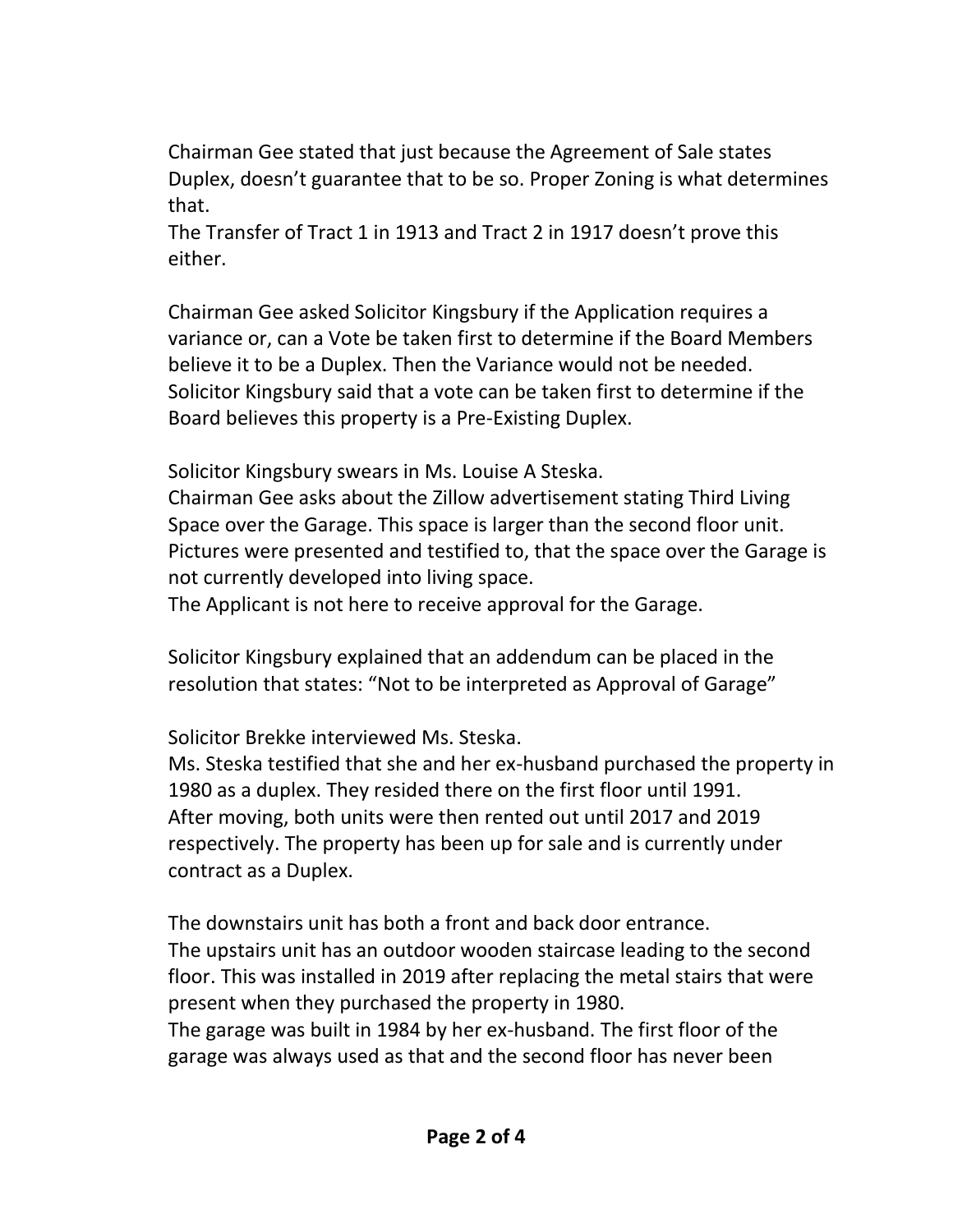Chairman Gee stated that just because the Agreement of Sale states Duplex, doesn't guarantee that to be so. Proper Zoning is what determines that.

The Transfer of Tract 1 in 1913 and Tract 2 in 1917 doesn't prove this either.

Chairman Gee asked Solicitor Kingsbury if the Application requires a variance or, can a Vote be taken first to determine if the Board Members believe it to be a Duplex. Then the Variance would not be needed. Solicitor Kingsbury said that a vote can be taken first to determine if the Board believes this property is a Pre-Existing Duplex.

Solicitor Kingsbury swears in Ms. Louise A Steska.

Chairman Gee asks about the Zillow advertisement stating Third Living Space over the Garage. This space is larger than the second floor unit. Pictures were presented and testified to, that the space over the Garage is not currently developed into living space.

The Applicant is not here to receive approval for the Garage.

Solicitor Kingsbury explained that an addendum can be placed in the resolution that states: "Not to be interpreted as Approval of Garage"

Solicitor Brekke interviewed Ms. Steska.

Ms. Steska testified that she and her ex-husband purchased the property in 1980 as a duplex. They resided there on the first floor until 1991. After moving, both units were then rented out until 2017 and 2019 respectively. The property has been up for sale and is currently under contract as a Duplex.

The downstairs unit has both a front and back door entrance. The upstairs unit has an outdoor wooden staircase leading to the second floor. This was installed in 2019 after replacing the metal stairs that were present when they purchased the property in 1980.

The garage was built in 1984 by her ex-husband. The first floor of the garage was always used as that and the second floor has never been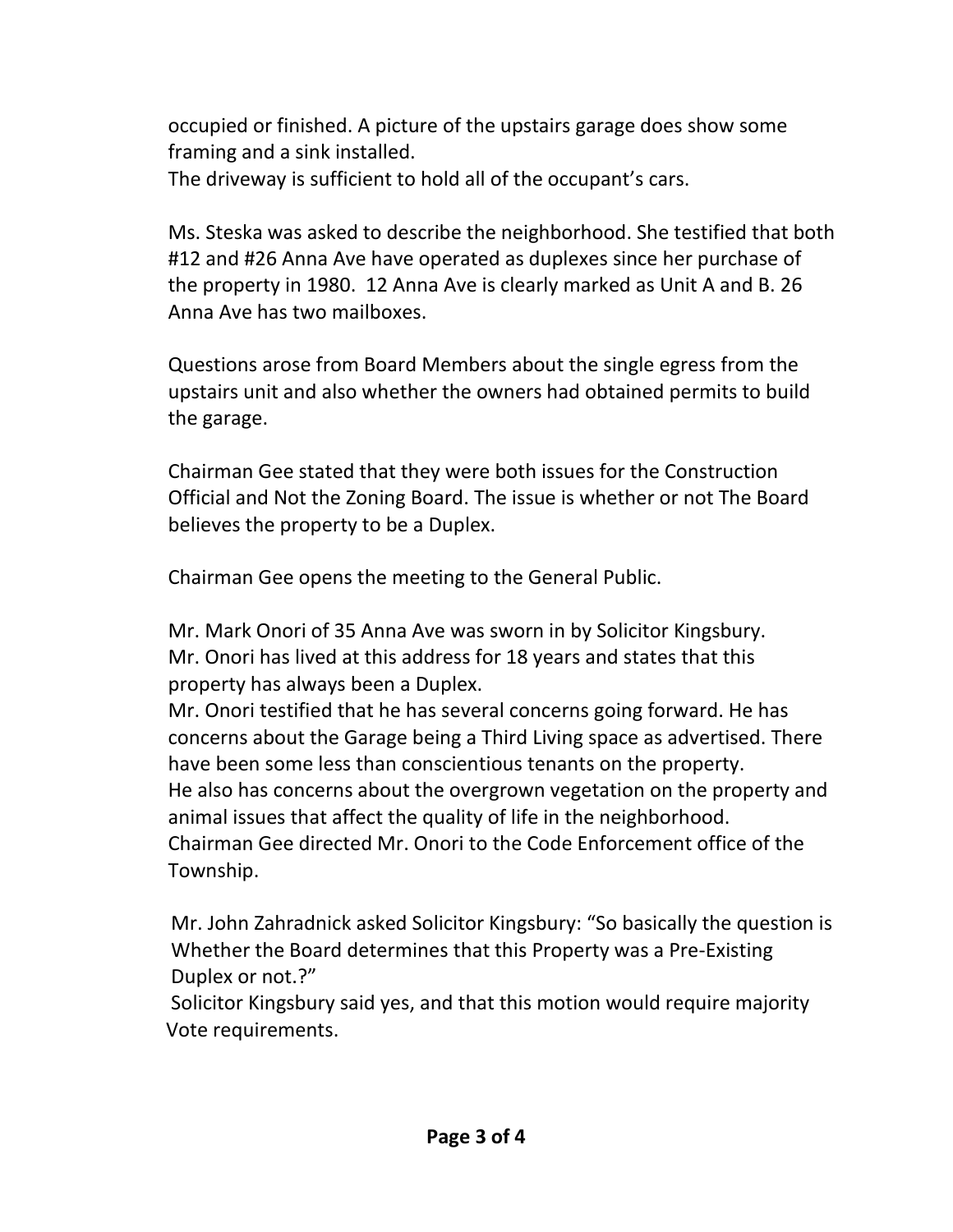occupied or finished. A picture of the upstairs garage does show some framing and a sink installed.

The driveway is sufficient to hold all of the occupant's cars.

Ms. Steska was asked to describe the neighborhood. She testified that both #12 and #26 Anna Ave have operated as duplexes since her purchase of the property in 1980. 12 Anna Ave is clearly marked as Unit A and B. 26 Anna Ave has two mailboxes.

Questions arose from Board Members about the single egress from the upstairs unit and also whether the owners had obtained permits to build the garage.

Chairman Gee stated that they were both issues for the Construction Official and Not the Zoning Board. The issue is whether or not The Board believes the property to be a Duplex.

Chairman Gee opens the meeting to the General Public.

Mr. Mark Onori of 35 Anna Ave was sworn in by Solicitor Kingsbury. Mr. Onori has lived at this address for 18 years and states that this property has always been a Duplex.

Mr. Onori testified that he has several concerns going forward. He has concerns about the Garage being a Third Living space as advertised. There have been some less than conscientious tenants on the property. He also has concerns about the overgrown vegetation on the property and animal issues that affect the quality of life in the neighborhood. Chairman Gee directed Mr. Onori to the Code Enforcement office of the Township.

 Mr. John Zahradnick asked Solicitor Kingsbury: "So basically the question is Whether the Board determines that this Property was a Pre-Existing Duplex or not.?"

 Solicitor Kingsbury said yes, and that this motion would require majority Vote requirements.